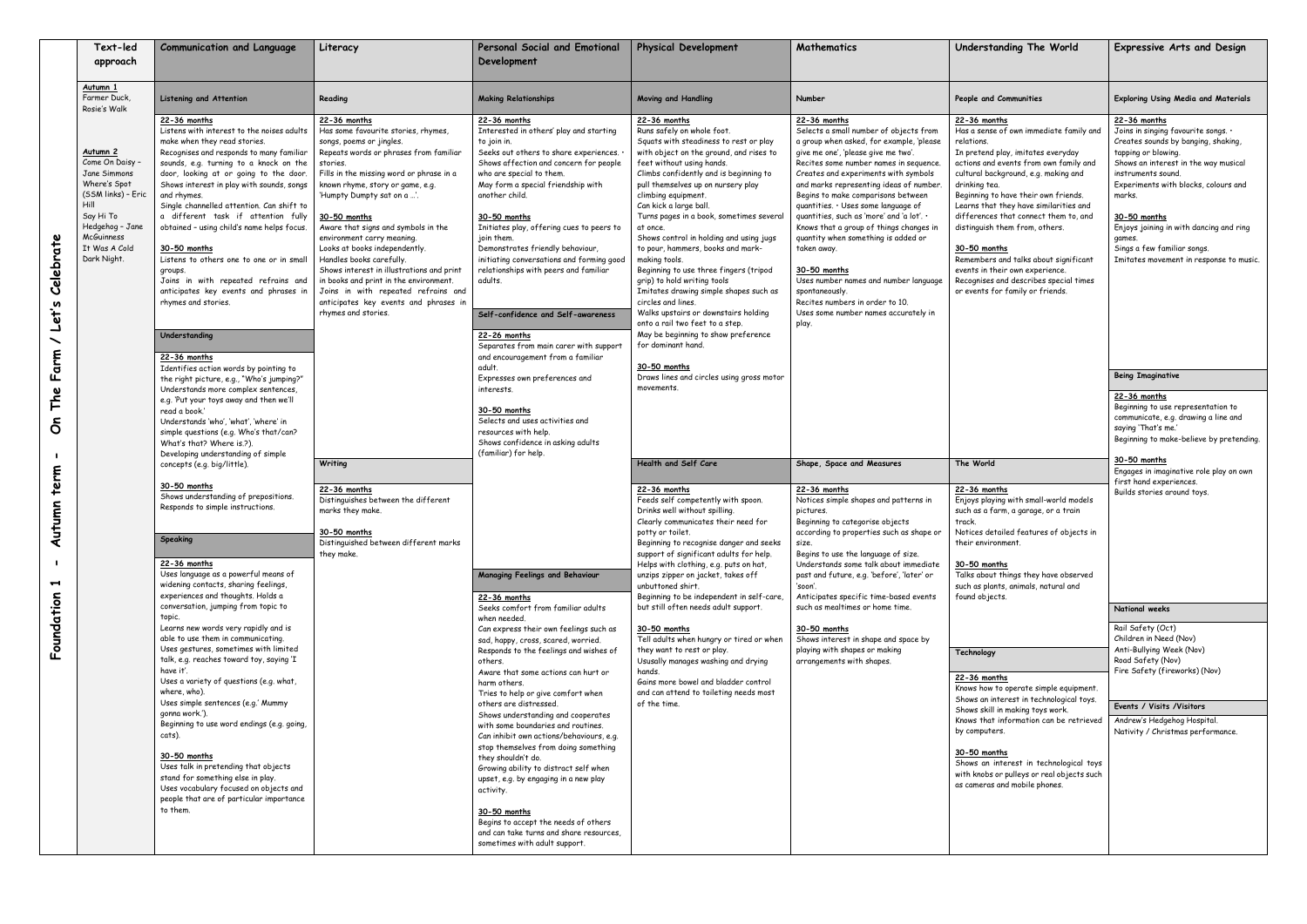|  | Text-led<br>approach                                                                                                                                                    | <b>Communication and Language</b>                                                                                                                                                                                                                                                                                                                                                                                                                                                                                                                                                                                                       | Literacy                                                                                                                                                                                                                                                                                                                                                                                                                                                                                                                                                                                                       | Personal Social and Emotional<br>Development                                                                                                                                                                                                                                                                                                                                                                                                                                                                                                                                                                                                                                                                                                                                                                                                                                                                                                                                                                                                                                                       | <b>Physical Development</b>                                                                                                                                                                                                                                                                                                                                                                                                                                                                                                                                                                                                                                                                                                 | Mathematics                                                                                                                                                                                                                                                                                                                                                                                                                                                                                                                                                                                                                                                    | Understanding The World                                                                                                                                                                                                                                                                                                                                                                                                                                                                                                                               | <b>Expressive Arts and Design</b>                                                                                                                                                                                                                                                                                                                                            |
|--|-------------------------------------------------------------------------------------------------------------------------------------------------------------------------|-----------------------------------------------------------------------------------------------------------------------------------------------------------------------------------------------------------------------------------------------------------------------------------------------------------------------------------------------------------------------------------------------------------------------------------------------------------------------------------------------------------------------------------------------------------------------------------------------------------------------------------------|----------------------------------------------------------------------------------------------------------------------------------------------------------------------------------------------------------------------------------------------------------------------------------------------------------------------------------------------------------------------------------------------------------------------------------------------------------------------------------------------------------------------------------------------------------------------------------------------------------------|----------------------------------------------------------------------------------------------------------------------------------------------------------------------------------------------------------------------------------------------------------------------------------------------------------------------------------------------------------------------------------------------------------------------------------------------------------------------------------------------------------------------------------------------------------------------------------------------------------------------------------------------------------------------------------------------------------------------------------------------------------------------------------------------------------------------------------------------------------------------------------------------------------------------------------------------------------------------------------------------------------------------------------------------------------------------------------------------------|-----------------------------------------------------------------------------------------------------------------------------------------------------------------------------------------------------------------------------------------------------------------------------------------------------------------------------------------------------------------------------------------------------------------------------------------------------------------------------------------------------------------------------------------------------------------------------------------------------------------------------------------------------------------------------------------------------------------------------|----------------------------------------------------------------------------------------------------------------------------------------------------------------------------------------------------------------------------------------------------------------------------------------------------------------------------------------------------------------------------------------------------------------------------------------------------------------------------------------------------------------------------------------------------------------------------------------------------------------------------------------------------------------|-------------------------------------------------------------------------------------------------------------------------------------------------------------------------------------------------------------------------------------------------------------------------------------------------------------------------------------------------------------------------------------------------------------------------------------------------------------------------------------------------------------------------------------------------------|------------------------------------------------------------------------------------------------------------------------------------------------------------------------------------------------------------------------------------------------------------------------------------------------------------------------------------------------------------------------------|
|  | <u>Autumn 1</u><br>Farmer Duck,<br>Rosie's Walk                                                                                                                         | <b>Listening and Attention</b>                                                                                                                                                                                                                                                                                                                                                                                                                                                                                                                                                                                                          | Reading                                                                                                                                                                                                                                                                                                                                                                                                                                                                                                                                                                                                        | <b>Making Relationships</b>                                                                                                                                                                                                                                                                                                                                                                                                                                                                                                                                                                                                                                                                                                                                                                                                                                                                                                                                                                                                                                                                        | Moving and Handling                                                                                                                                                                                                                                                                                                                                                                                                                                                                                                                                                                                                                                                                                                         | Number                                                                                                                                                                                                                                                                                                                                                                                                                                                                                                                                                                                                                                                         | People and Communities                                                                                                                                                                                                                                                                                                                                                                                                                                                                                                                                | <b>Exploring Using Media and Materials</b>                                                                                                                                                                                                                                                                                                                                   |
|  | Autumn 2<br>Come On Daisy -<br>Jane Simmons<br>Where's Spot<br>(SSM links) - Eric<br>Hill<br>Say Hi To<br>Hedgehog - Jane<br>McGuinness<br>It Was A Cold<br>Dark Night. | 22-36 months<br>Listens with interest to the noises adults<br>make when they read stories.<br>Recognises and responds to many familiar<br>sounds, e.g. turning to a knock on the<br>door, looking at or going to the door.<br>Shows interest in play with sounds, songs<br>and rhymes.<br>Single channelled attention. Can shift to<br>a different task if attention fully<br>obtained - using child's name helps focus.<br>30-50 months<br>Listens to others one to one or in small<br>groups.<br>Joins in with repeated refrains and<br>anticipates key events and phrases in<br>rhymes and stories.<br>Understanding<br>22-36 months | 22-36 months<br>Has some favourite stories, rhymes,<br>songs, poems or jingles.<br>Repeats words or phrases from familiar<br>stories.<br>Fills in the missing word or phrase in a<br>known rhyme, story or game, e.g.<br>'Humpty Dumpty sat on a '.<br>30-50 months<br>Aware that signs and symbols in the<br>environment carry meaning.<br>Looks at books independently.<br>Handles books carefully.<br>Shows interest in illustrations and print<br>in books and print in the environment.<br>Joins in with repeated refrains and<br>anticipates key events and phrases in<br>rhymes and stories.<br>Writing | 22-36 months<br>Interested in others' play and starting<br>to join in.<br>Seeks out others to share experiences.<br>Shows affection and concern for people<br>who are special to them.<br>May form a special friendship with<br>another child.<br>30-50 months<br>Initiates play, offering cues to peers to<br>at once.<br>join them.<br>Demonstrates friendly behaviour,<br>initiating conversations and forming good<br>relationships with peers and familiar<br>adults.<br>Self-confidence and Self-awareness<br>22-26 months<br>Separates from main carer with support<br>and encouragement from a familiar<br>adult.<br>Expresses own preferences and<br>movements.<br>interests.<br>30-50 months<br>Selects and uses activities and<br>resources with help.<br>Shows confidence in asking adults<br>(familiar) for help.<br>Managing Feelings and Behaviour<br>unbuttoned shirt.<br>22-36 months<br>Seeks comfort from familiar adults<br>when needed.<br>Can express their own feelings such as<br>sad, happy, cross, scared, worried.<br>Responds to the feelings and wishes of<br>others. | 22-36 months<br>Runs safely on whole foot.<br>Squats with steadiness to rest or play<br>with object on the ground, and rises to<br>feet without using hands.<br>Climbs confidently and is beginning to<br>pull themselves up on nursery play<br>climbing equipment.<br>Can kick a large ball.<br>Turns pages in a book, sometimes several<br>Shows control in holding and using jugs<br>to pour, hammers, books and mark-<br>making tools.<br>Beginning to use three fingers (tripod<br>grip) to hold writing tools<br>Imitates drawing simple shapes such as<br>circles and lines.<br>Walks upstairs or downstairs holding<br>onto a rail two feet to a step.<br>May be beginning to show preference<br>for dominant hand. | 22-36 months<br>Selects a small number of objects from<br>a group when asked, for example, 'please<br>give me one', 'please give me two'.<br>Recites some number names in sequence<br>Creates and experiments with symbols<br>and marks representing ideas of number<br>Begins to make comparisons between<br>quantities. · Uses some language of<br>quantities, such as 'more' and 'a lot'. .<br>Knows that a group of things changes in<br>quantity when something is added or<br>taken away.<br>30-50 months<br>Uses number names and number language<br>spontaneously.<br>Recites numbers in order to 10.<br>Uses some number names accurately in<br>play. | 22-36 months<br>Has a sense of own immediate family and<br>relations.<br>In pretend play, imitates everyday<br>actions and events from own family and<br>cultural background, e.g. making and<br>drinking tea.<br>Beginning to have their own friends.<br>Learns that they have similarities and<br>differences that connect them to, and<br>distinguish them from, others.<br>30-50 months<br>Remembers and talks about significant<br>events in their own experience.<br>Recognises and describes special times<br>or events for family or friends. | 22-36 months<br>Joins in singing favourite songs. .<br>Creates sounds by banging, shaking,<br>tapping or blowing.<br>Shows an interest in the way musical<br>instruments sound.<br>Experiments with blocks, colours and<br>marks.<br>30-50 months<br>Enjoys joining in with dancing and ring<br>games.<br>Sings a few familiar songs.<br>Imitates movement in response to mu |
|  |                                                                                                                                                                         | Identifies action words by pointing to<br>the right picture, e.g., "Who's jumping?"<br>Understands more complex sentences,<br>e.g. 'Put your toys away and then we'll<br>read a book.'<br>Understands 'who', 'what', 'where' in                                                                                                                                                                                                                                                                                                                                                                                                         |                                                                                                                                                                                                                                                                                                                                                                                                                                                                                                                                                                                                                |                                                                                                                                                                                                                                                                                                                                                                                                                                                                                                                                                                                                                                                                                                                                                                                                                                                                                                                                                                                                                                                                                                    | <u>30-50 months</u><br>Draws lines and circles using gross motor                                                                                                                                                                                                                                                                                                                                                                                                                                                                                                                                                                                                                                                            |                                                                                                                                                                                                                                                                                                                                                                                                                                                                                                                                                                                                                                                                |                                                                                                                                                                                                                                                                                                                                                                                                                                                                                                                                                       | <b>Being Imaginative</b><br>22-36 months<br>Beginning to use representation to<br>communicate, e.g. drawing a line and<br>saying 'That's me.'                                                                                                                                                                                                                                |
|  |                                                                                                                                                                         | simple questions (e.g. Who's that/can?<br>What's that? Where is.?).<br>Developing understanding of simple<br>concepts (e.g. big/little).                                                                                                                                                                                                                                                                                                                                                                                                                                                                                                |                                                                                                                                                                                                                                                                                                                                                                                                                                                                                                                                                                                                                |                                                                                                                                                                                                                                                                                                                                                                                                                                                                                                                                                                                                                                                                                                                                                                                                                                                                                                                                                                                                                                                                                                    | Health and Self Care                                                                                                                                                                                                                                                                                                                                                                                                                                                                                                                                                                                                                                                                                                        | Shape, Space and Measures                                                                                                                                                                                                                                                                                                                                                                                                                                                                                                                                                                                                                                      | The World                                                                                                                                                                                                                                                                                                                                                                                                                                                                                                                                             | Beginning to make-believe by pretend<br>30-50 months<br>Engages in imaginative role play on ow                                                                                                                                                                                                                                                                               |
|  |                                                                                                                                                                         | 30-50 months<br>Shows understanding of prepositions.<br>Responds to simple instructions.<br>Speaking<br>22-36 months<br>Uses language as a powerful means of                                                                                                                                                                                                                                                                                                                                                                                                                                                                            | 22-36 months<br>Distinguishes between the different<br>marks they make.<br>30-50 months<br>Distinguished between different marks<br>they make.                                                                                                                                                                                                                                                                                                                                                                                                                                                                 |                                                                                                                                                                                                                                                                                                                                                                                                                                                                                                                                                                                                                                                                                                                                                                                                                                                                                                                                                                                                                                                                                                    | 22-36 months<br>Feeds self competently with spoon.<br>Drinks well without spilling.<br>Clearly communicates their need for<br>potty or toilet.<br>Beginning to recognise danger and seeks<br>support of significant adults for help.<br>Helps with clothing, e.g. puts on hat,<br>unzips zipper on jacket, takes off                                                                                                                                                                                                                                                                                                                                                                                                        | 22-36 months<br>Notices simple shapes and patterns in<br>pictures.<br>Beginning to categorise objects<br>according to properties such as shape or<br>size.<br>Begins to use the language of size.<br>Understands some talk about immediate<br>past and future, e.g. 'before', 'later' or                                                                                                                                                                                                                                                                                                                                                                       | 22-36 months<br>Enjoys playing with small-world models<br>such as a farm, a garage, or a train<br>track.<br>Notices detailed features of objects in<br>their environment.<br>30-50 months<br>Talks about things they have observed                                                                                                                                                                                                                                                                                                                    | first hand experiences.<br>Builds stories around toys.                                                                                                                                                                                                                                                                                                                       |
|  |                                                                                                                                                                         | widening contacts, sharing feelings,<br>experiences and thoughts. Holds a<br>conversation, jumping from topic to<br>topic.                                                                                                                                                                                                                                                                                                                                                                                                                                                                                                              |                                                                                                                                                                                                                                                                                                                                                                                                                                                                                                                                                                                                                |                                                                                                                                                                                                                                                                                                                                                                                                                                                                                                                                                                                                                                                                                                                                                                                                                                                                                                                                                                                                                                                                                                    | Beginning to be independent in self-care,<br>but still often needs adult support.                                                                                                                                                                                                                                                                                                                                                                                                                                                                                                                                                                                                                                           | 'soon'.<br>Anticipates specific time-based events<br>such as mealtimes or home time.                                                                                                                                                                                                                                                                                                                                                                                                                                                                                                                                                                           | such as plants, animals, natural and<br>found objects.                                                                                                                                                                                                                                                                                                                                                                                                                                                                                                | National weeks                                                                                                                                                                                                                                                                                                                                                               |
|  |                                                                                                                                                                         | Learns new words very rapidly and is<br>able to use them in communicating.<br>Uses gestures, sometimes with limited<br>talk, e.g. reaches toward toy, saying 'I                                                                                                                                                                                                                                                                                                                                                                                                                                                                         |                                                                                                                                                                                                                                                                                                                                                                                                                                                                                                                                                                                                                |                                                                                                                                                                                                                                                                                                                                                                                                                                                                                                                                                                                                                                                                                                                                                                                                                                                                                                                                                                                                                                                                                                    | 30-50 months<br>Tell adults when hungry or tired or when<br>they want to rest or play.<br>Ususally manages washing and drying                                                                                                                                                                                                                                                                                                                                                                                                                                                                                                                                                                                               | 30-50 months<br>Shows interest in shape and space by<br>playing with shapes or making<br>arrangements with shapes.                                                                                                                                                                                                                                                                                                                                                                                                                                                                                                                                             | Technology                                                                                                                                                                                                                                                                                                                                                                                                                                                                                                                                            | Rail Safety (Oct)<br>Children in Need (Nov)<br>Anti-Bullying Week (Nov)<br>Road Safety (Nov)                                                                                                                                                                                                                                                                                 |
|  |                                                                                                                                                                         | have it'.<br>Uses a variety of questions (e.g. what,<br>where, who).<br>Uses simple sentences (e.g.' Mummy                                                                                                                                                                                                                                                                                                                                                                                                                                                                                                                              | Aware that some actions can hurt or<br>harm others.<br>Tries to help or give comfort when<br>others are distressed.                                                                                                                                                                                                                                                                                                                                                                                                                                                                                            | hands.<br>Gains more bowel and bladder control<br>and can attend to toileting needs most<br>of the time.                                                                                                                                                                                                                                                                                                                                                                                                                                                                                                                                                                                                                                                                                                                                                                                                                                                                                                                                                                                           | 22-36 months<br>Shows skill in making toys work.                                                                                                                                                                                                                                                                                                                                                                                                                                                                                                                                                                                                                                                                            | Knows how to operate simple equipment.<br>Shows an interest in technological toys.                                                                                                                                                                                                                                                                                                                                                                                                                                                                                                                                                                             | Fire Safety (fireworks) (Nov)<br>Events / Visits /Visitors                                                                                                                                                                                                                                                                                                                                                                                                                                                                                            |                                                                                                                                                                                                                                                                                                                                                                              |
|  |                                                                                                                                                                         | gonna work.').<br>Beginning to use word endings (e.g. going,<br>cats).<br>30-50 months<br>Uses talk in pretending that objects<br>stand for something else in play.<br>Uses vocabulary focused on objects and<br>people that are of particular importance<br>to them.                                                                                                                                                                                                                                                                                                                                                                   |                                                                                                                                                                                                                                                                                                                                                                                                                                                                                                                                                                                                                | Shows understanding and cooperates<br>with some boundaries and routines.<br>Can inhibit own actions/behaviours, e.g.<br>stop themselves from doing something<br>they shouldn't do.<br>Growing ability to distract self when<br>upset, e.g. by engaging in a new play<br>activity.<br>30-50 months<br>Begins to accept the needs of others<br>and can take turns and share resources,<br>sometimes with adult support.                                                                                                                                                                                                                                                                                                                                                                                                                                                                                                                                                                                                                                                                              |                                                                                                                                                                                                                                                                                                                                                                                                                                                                                                                                                                                                                                                                                                                             |                                                                                                                                                                                                                                                                                                                                                                                                                                                                                                                                                                                                                                                                | Knows that information can be retrieved<br>by computers.<br>30-50 months<br>Shows an interest in technological toys<br>with knobs or pulleys or real objects such<br>as cameras and mobile phones.                                                                                                                                                                                                                                                                                                                                                    | Andrew's Hedgehog Hospital.<br>Nativity / Christmas performance.                                                                                                                                                                                                                                                                                                             |

| <b>Understanding The World</b>                                                                                                                                                                                                                                                                                                                                                                                                                                                                                                                               | <b>Expressive Arts and Design</b>                                                                                                                                                                                                                                                                                                                                                       |  |  |  |
|--------------------------------------------------------------------------------------------------------------------------------------------------------------------------------------------------------------------------------------------------------------------------------------------------------------------------------------------------------------------------------------------------------------------------------------------------------------------------------------------------------------------------------------------------------------|-----------------------------------------------------------------------------------------------------------------------------------------------------------------------------------------------------------------------------------------------------------------------------------------------------------------------------------------------------------------------------------------|--|--|--|
| People and Communities                                                                                                                                                                                                                                                                                                                                                                                                                                                                                                                                       | <b>Exploring Using Media and Materials</b>                                                                                                                                                                                                                                                                                                                                              |  |  |  |
| 22-36 months<br>Has a sense of own immediate family and<br>relations.<br>In pretend play, imitates everyday<br>actions and events from own family and<br>cultural background, e.g. making and<br>drinking tea.<br>Beginning to have their own friends.<br>Learns that they have similarities and<br>differences that connect them to, and<br>distinguish them from, others.<br><u>30-50 months</u><br>Remembers and talks about significant<br>events in their own experience.<br>Recognises and describes special times<br>or events for family or friends. | 22-36 months<br>Joins in singing favourite songs. .<br>Creates sounds by banging, shaking,<br>tapping or blowing.<br>Shows an interest in the way musical<br>instruments sound.<br>Experiments with blocks, colours and<br>marks.<br><u>30-50 months</u><br>Enjoys joining in with dancing and ring<br>games.<br>Sings a few familiar songs.<br>Imitates movement in response to music. |  |  |  |
|                                                                                                                                                                                                                                                                                                                                                                                                                                                                                                                                                              | <b>Being Imaginative</b>                                                                                                                                                                                                                                                                                                                                                                |  |  |  |
|                                                                                                                                                                                                                                                                                                                                                                                                                                                                                                                                                              | <u>22-36 months</u><br>Beginning to use representation to<br>communicate, e.g. drawing a line and<br>saying 'That's me.'<br>Beginning to make-believe by pretending.                                                                                                                                                                                                                    |  |  |  |
| The World                                                                                                                                                                                                                                                                                                                                                                                                                                                                                                                                                    | 30-50 months<br>Engages in imaginative role play on own<br>first hand experiences.                                                                                                                                                                                                                                                                                                      |  |  |  |
| 22-36 months<br>Enjoys playing with small-world models<br>such as a farm, a garage, or a train<br>track.<br>Notices detailed features of objects in<br>their environment.<br><u>30-50 months</u><br>Talks about things they have observed<br>such as plants, animals, natural and<br>found objects.                                                                                                                                                                                                                                                          | Builds stories around toys.                                                                                                                                                                                                                                                                                                                                                             |  |  |  |
|                                                                                                                                                                                                                                                                                                                                                                                                                                                                                                                                                              | National weeks                                                                                                                                                                                                                                                                                                                                                                          |  |  |  |
| Technology<br>22-36 months<br>Knows how to operate simple equipment.<br>Shows an interest in technological toys.<br>Shows skill in making toys work.<br>Knows that information can be retrieved<br>by computers.                                                                                                                                                                                                                                                                                                                                             | Rail Safety (Oct)<br>Children in Need (Nov)<br>Anti-Bullying Week (Nov)<br>Road Safety (Nov)<br>Fire Safety (fireworks) (Nov)<br>Events / Visits /Visitors<br>Andrew's Hedgehog Hospital.<br>Nativity / Christmas performance.                                                                                                                                                          |  |  |  |
| <u>30-50 months</u><br>Shows an interest in technological toys<br>with knobs or pulleys or real objects such<br>as cameras and mobile phones.                                                                                                                                                                                                                                                                                                                                                                                                                |                                                                                                                                                                                                                                                                                                                                                                                         |  |  |  |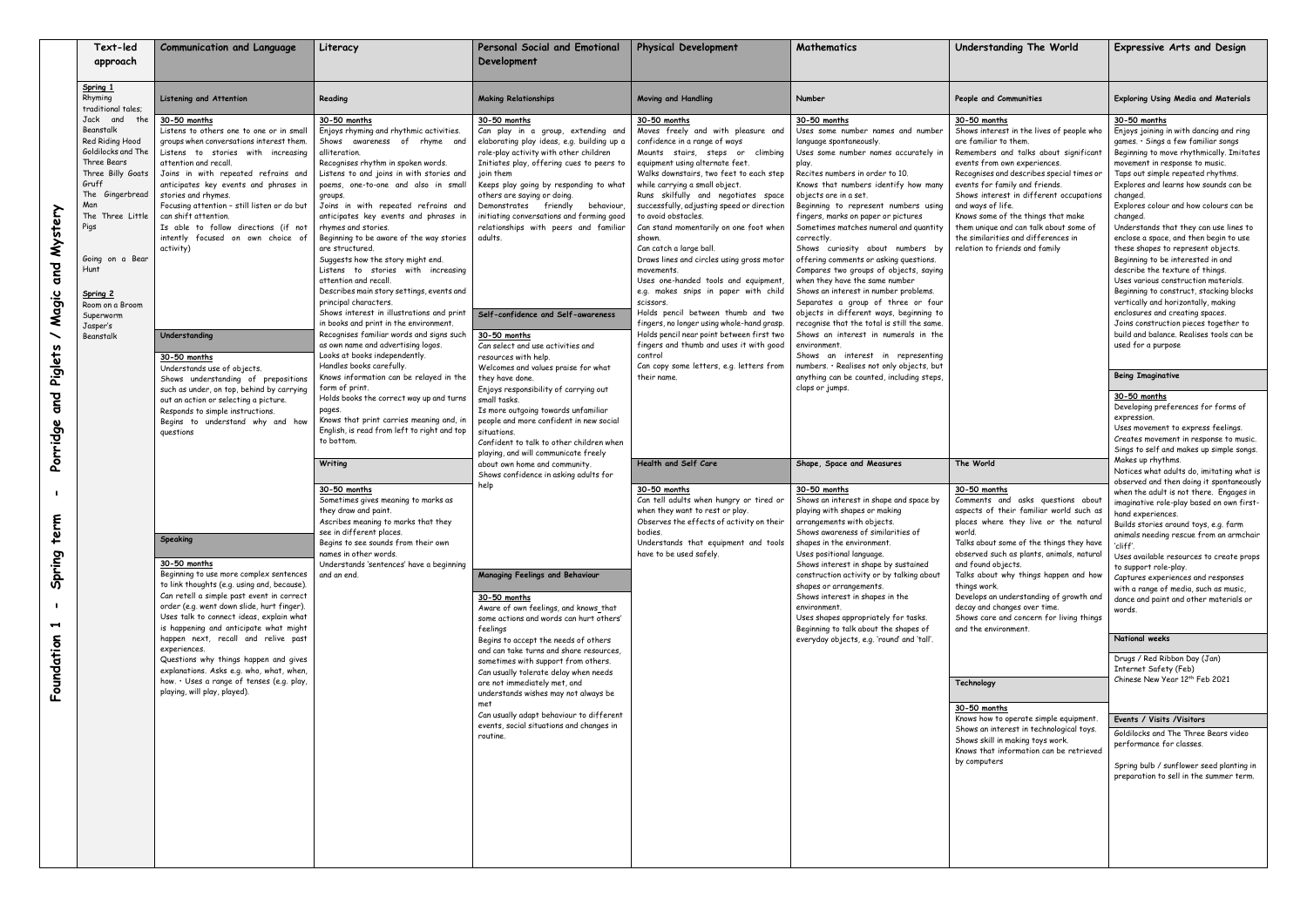| Text-led<br>approach                                                                                                                                                                                                                                                     | <b>Communication and Language</b>                                                                                                                                                                                                                                                                                                                                                                                                                                                                                                                                                                                                                                                                       | Literacy                                                                                                                                                                                                                                                                                                                                                                                                                                                                                                                                                                                                                                                                                                                                                                                                                                                                     | Personal Social and Emotional<br>Development                                                                                                                                                                                                                                                                                                                                                                                                                                                                                                                                                                                                                                                                                                                                                                                                                                                                                                                                                                                                                                                                                                                                                                                                                                                                                                                                                                                                       | <b>Physical Development</b>                                                                                                                                                                                                                                                                                                                                                                                                                                                                                                                                                                                                                                                                                                                                                                                                                                                                                                                                                                                                                                                                   | Mathematics                                                                                                                                                                                                                                                                                                                                                                                                                                                                                                                                                                                                                                                                                                                                                                                                                                                                                                                                                                                                                                                                                                                                                                                                                                                                                                                                                                                                                                                                    | Understanding The World                                                                                                                                                                                                                                                                                                                                                                                                                                                                                                                                                                                                                                                                                | <b>Expressive Arts and Design</b>                                                                                                                                                                                                                                                                                                                                                                                                                                                                                                                                                                                                                                                                                                                                                                                                  |
|--------------------------------------------------------------------------------------------------------------------------------------------------------------------------------------------------------------------------------------------------------------------------|---------------------------------------------------------------------------------------------------------------------------------------------------------------------------------------------------------------------------------------------------------------------------------------------------------------------------------------------------------------------------------------------------------------------------------------------------------------------------------------------------------------------------------------------------------------------------------------------------------------------------------------------------------------------------------------------------------|------------------------------------------------------------------------------------------------------------------------------------------------------------------------------------------------------------------------------------------------------------------------------------------------------------------------------------------------------------------------------------------------------------------------------------------------------------------------------------------------------------------------------------------------------------------------------------------------------------------------------------------------------------------------------------------------------------------------------------------------------------------------------------------------------------------------------------------------------------------------------|----------------------------------------------------------------------------------------------------------------------------------------------------------------------------------------------------------------------------------------------------------------------------------------------------------------------------------------------------------------------------------------------------------------------------------------------------------------------------------------------------------------------------------------------------------------------------------------------------------------------------------------------------------------------------------------------------------------------------------------------------------------------------------------------------------------------------------------------------------------------------------------------------------------------------------------------------------------------------------------------------------------------------------------------------------------------------------------------------------------------------------------------------------------------------------------------------------------------------------------------------------------------------------------------------------------------------------------------------------------------------------------------------------------------------------------------------|-----------------------------------------------------------------------------------------------------------------------------------------------------------------------------------------------------------------------------------------------------------------------------------------------------------------------------------------------------------------------------------------------------------------------------------------------------------------------------------------------------------------------------------------------------------------------------------------------------------------------------------------------------------------------------------------------------------------------------------------------------------------------------------------------------------------------------------------------------------------------------------------------------------------------------------------------------------------------------------------------------------------------------------------------------------------------------------------------|--------------------------------------------------------------------------------------------------------------------------------------------------------------------------------------------------------------------------------------------------------------------------------------------------------------------------------------------------------------------------------------------------------------------------------------------------------------------------------------------------------------------------------------------------------------------------------------------------------------------------------------------------------------------------------------------------------------------------------------------------------------------------------------------------------------------------------------------------------------------------------------------------------------------------------------------------------------------------------------------------------------------------------------------------------------------------------------------------------------------------------------------------------------------------------------------------------------------------------------------------------------------------------------------------------------------------------------------------------------------------------------------------------------------------------------------------------------------------------|--------------------------------------------------------------------------------------------------------------------------------------------------------------------------------------------------------------------------------------------------------------------------------------------------------------------------------------------------------------------------------------------------------------------------------------------------------------------------------------------------------------------------------------------------------------------------------------------------------------------------------------------------------------------------------------------------------|------------------------------------------------------------------------------------------------------------------------------------------------------------------------------------------------------------------------------------------------------------------------------------------------------------------------------------------------------------------------------------------------------------------------------------------------------------------------------------------------------------------------------------------------------------------------------------------------------------------------------------------------------------------------------------------------------------------------------------------------------------------------------------------------------------------------------------|
| Spring 1<br>Rhyming<br>traditional tales;                                                                                                                                                                                                                                | Listening and Attention                                                                                                                                                                                                                                                                                                                                                                                                                                                                                                                                                                                                                                                                                 | Reading                                                                                                                                                                                                                                                                                                                                                                                                                                                                                                                                                                                                                                                                                                                                                                                                                                                                      | <b>Making Relationships</b>                                                                                                                                                                                                                                                                                                                                                                                                                                                                                                                                                                                                                                                                                                                                                                                                                                                                                                                                                                                                                                                                                                                                                                                                                                                                                                                                                                                                                        | Moving and Handling                                                                                                                                                                                                                                                                                                                                                                                                                                                                                                                                                                                                                                                                                                                                                                                                                                                                                                                                                                                                                                                                           | Number                                                                                                                                                                                                                                                                                                                                                                                                                                                                                                                                                                                                                                                                                                                                                                                                                                                                                                                                                                                                                                                                                                                                                                                                                                                                                                                                                                                                                                                                         | People and Communities                                                                                                                                                                                                                                                                                                                                                                                                                                                                                                                                                                                                                                                                                 | <b>Exploring Using Media and Materials</b>                                                                                                                                                                                                                                                                                                                                                                                                                                                                                                                                                                                                                                                                                                                                                                                         |
| Jack and<br>the<br>Beanstalk<br>Red Riding Hood<br>Goldilocks and The<br>Three Bears<br>Three Billy Goats<br>Gruff<br>The Gingerbread<br>Man<br>The Three Little<br>Pigs<br>Going on a Bear<br>Hunt<br>Spring 2<br>Room on a Broom<br>Superworm<br>Jasper's<br>Beanstalk | 30-50 months<br>Listens to others one to one or in small<br>groups when conversations interest them<br>Listens to stories with increasing<br>attention and recall.<br>Joins in with repeated refrains and<br>anticipates key events and phrases in<br>stories and rhymes.<br>Focusing attention - still listen or do but<br>can shift attention.<br>Is able to follow directions (if not<br>intently focused on own choice of<br>activity)<br>Understanding<br>30-50 months<br>Understands use of objects.<br>Shows understanding of prepositions                                                                                                                                                       | 30-50 months<br>Enjoys rhyming and rhythmic activities.<br>Shows awareness of rhyme and<br>alliteration.<br>Recognises rhythm in spoken words.<br>Listens to and joins in with stories and<br>poems, one-to-one and also in small<br>groups.<br>Joins in with repeated refrains and<br>anticipates key events and phrases in<br>rhymes and stories.<br>Beginning to be aware of the way stories<br>are structured.<br>Suggests how the story might end.<br>Listens to stories with increasing<br>attention and recall<br>Describes main story settings, events and<br>principal characters.<br>Shows interest in illustrations and print<br>in books and print in the environment.<br>Recognises familiar words and signs such<br>as own name and advertising logos.<br>Looks at books independently.<br>Handles books carefully.<br>Knows information can be relayed in the | 30-50 months<br>Can play in a group, extending and<br>elaborating play ideas, e.g. building up a<br>role-play activity with other children<br>Initiates play, offering cues to peers to<br>join them<br>Keeps play going by responding to what<br>others are saying or doing.<br>Demonstrates friendly<br>behaviour,<br>initiating conversations and forming good<br>relationships with peers and familiar<br>adults.<br>Self-confidence and Self-awareness<br>30-50 months<br>Can select and use activities and<br>resources with help.<br>Welcomes and values praise for what<br>they have done.<br>Enjoys responsibility of carrying out<br>small tasks.<br>Is more outgoing towards unfamiliar<br>people and more confident in new social<br>situations.<br>Confident to talk to other children when<br>playing, and will communicate freely<br>about own home and community.<br>Shows confidence in asking adults for<br>help<br><b>Managing Feelings and Behaviour</b><br>30-50 months<br>Aware of own feelings, and knows that<br>some actions and words can hurt others'<br>feelings<br>Begins to accept the needs of others<br>and can take turns and share resources,<br>sometimes with support from others.<br>Can usually tolerate delay when needs<br>are not immediately met, and<br>understands wishes may not always be<br>met<br>Can usually adapt behaviour to different<br>events, social situations and changes in<br>routine. | 30-50 months<br>Moves freely and with pleasure and<br>confidence in a range of ways<br>Mounts stairs, steps or climbing<br>equipment using alternate feet.<br>Walks downstairs, two feet to each step<br>while carrying a small object.<br>Runs skilfully and negotiates space<br>successfully, adjusting speed or direction<br>to avoid obstacles.<br>Can stand momentarily on one foot when<br>shown.<br>Can catch a large ball.<br>Draws lines and circles using gross motor<br>movements.<br>Uses one-handed tools and equipment,<br>e.g. makes snips in paper with child<br>scissors.<br>Holds pencil between thumb and two<br>fingers, no longer using whole-hand grasp.<br>Holds pencil near point between first two<br>fingers and thumb and uses it with good<br>control<br>Can copy some letters, e.g. letters from<br>their name.<br>Health and Self Care<br>30-50 months<br>Can tell adults when hungry or tired or<br>when they want to rest or play.<br>Observes the effects of activity on their<br>bodies.<br>Understands that equipment and tools<br>have to be used safely. | 30-50 months<br>Uses some number names and number<br>language spontaneously.<br>Uses some number names accurately in<br>play.<br>Recites numbers in order to 10.<br>Knows that numbers identify how many<br>objects are in a set.<br>Beginning to represent numbers using<br>fingers, marks on paper or pictures<br>Sometimes matches numeral and quantity<br>correctly.<br>Shows curiosity about numbers by<br>offering comments or asking questions.<br>Compares two groups of objects, saying<br>when they have the same number<br>Shows an interest in number problems.<br>Separates a group of three or four<br>objects in different ways, beginning to<br>recognise that the total is still the same.<br>Shows an interest in numerals in the<br>environment<br>Shows an interest in representing<br>numbers. · Realises not only objects, but<br>anything can be counted, including steps,<br>claps or jumps.<br>Shape, Space and Measures<br>30-50 months<br>Shows an interest in shape and space by<br>playing with shapes or making<br>arrangements with objects.<br>Shows awareness of similarities of<br>shapes in the environment.<br>Uses positional language.<br>Shows interest in shape by sustained<br>construction activity or by talking about<br>shapes or arrangements.<br>Shows interest in shapes in the<br>environment.<br>Uses shapes appropriately for tasks.<br>Beginning to talk about the shapes of<br>everyday objects, e.g. 'round' and 'tall'. | 30-50 months<br>Shows interest in the lives of people who<br>are familiar to them.<br>Remembers and talks about significant<br>events from own experiences.<br>Recognises and describes special times or<br>events for family and friends.<br>Shows interest in different occupations<br>and ways of life.<br>Knows some of the things that make<br>them unique and can talk about some of<br>the similarities and differences in<br>relation to friends and family                                                                                                                                                                                                                                    | 30-50 months<br>Enjoys joining in with dancing and ring<br>games. · Sings a few familiar songs<br>Beginning to move rhythmically. Imitates<br>movement in response to music.<br>Taps out simple repeated rhythms.<br>Explores and learns how sounds can be<br>changed.<br>Explores colour and how colours can be<br>changed.<br>Understands that they can use lines to<br>enclose a space, and then begin to use<br>these shapes to represent objects.<br>Beginning to be interested in and<br>describe the texture of things.<br>Uses various construction materials.<br>Beginning to construct, stacking blocks<br>vertically and horizontally, making<br>enclosures and creating spaces.<br>Joins construction pieces together to<br>build and balance. Realises tools can be<br>used for a purpose<br><b>Being Imaginative</b> |
|                                                                                                                                                                                                                                                                          | such as under, on top, behind by carrying<br>out an action or selecting a picture.<br>Responds to simple instructions.<br>Begins to understand why and how<br>questions<br>Speaking<br>30-50 months<br>Beginning to use more complex sentences<br>to link thoughts (e.g. using and, because).<br>Can retell a simple past event in correct<br>order (e.g. went down slide, hurt finger).<br>Uses talk to connect ideas, explain what<br>is happening and anticipate what might<br>happen next, recall and relive past<br>experiences.<br>Questions why things happen and gives<br>explanations. Asks e.g. who, what, when,<br>how. . Uses a range of tenses (e.g. play,<br>playing, will play, played). | form of print.<br>Holds books the correct way up and turns<br>pages.<br>Knows that print carries meaning and, in<br>English, is read from left to right and top<br>to bottom.<br>Writing<br>30-50 months<br>Sometimes gives meaning to marks as<br>they draw and paint.<br>Ascribes meaning to marks that they<br>see in different places.<br>Begins to see sounds from their own<br>names in other words.<br>Understands 'sentences' have a beginning<br>and an end.                                                                                                                                                                                                                                                                                                                                                                                                        |                                                                                                                                                                                                                                                                                                                                                                                                                                                                                                                                                                                                                                                                                                                                                                                                                                                                                                                                                                                                                                                                                                                                                                                                                                                                                                                                                                                                                                                    |                                                                                                                                                                                                                                                                                                                                                                                                                                                                                                                                                                                                                                                                                                                                                                                                                                                                                                                                                                                                                                                                                               |                                                                                                                                                                                                                                                                                                                                                                                                                                                                                                                                                                                                                                                                                                                                                                                                                                                                                                                                                                                                                                                                                                                                                                                                                                                                                                                                                                                                                                                                                | The World<br>30-50 months<br>Comments and asks questions about<br>aspects of their familiar world such as<br>places where they live or the natural<br>world.<br>Talks about some of the things they have<br>observed such as plants, animals, natural<br>and found objects.<br>Talks about why things happen and how<br>things work.<br>Develops an understanding of growth and<br>decay and changes over time.<br>Shows care and concern for living things<br>and the environment.<br>Technology<br>30-50 months<br>Knows how to operate simple equipment.<br>Shows an interest in technological toys.<br>Shows skill in making toys work.<br>Knows that information can be retrieved<br>by computers | 30-50 months<br>Developing preferences for forms of<br>expression.<br>Uses movement to express feelings.<br>Creates movement in response to music.<br>Sings to self and makes up simple songs.<br>Makes up rhythms.<br>Notices what adults do, imitating what is<br>observed and then doing it spontaneously<br>when the adult is not there. Engages in<br>imaginative role-play based on own first-<br>hand experiences.<br>Builds stories around toys, e.g. farm<br>animals needing rescue from an armchair<br>cliff'.<br>Uses available resources to create props<br>to support role-play.<br>Captures experiences and responses<br>with a range of media, such as music,<br>dance and paint and other materials or<br>words.                                                                                                   |
|                                                                                                                                                                                                                                                                          |                                                                                                                                                                                                                                                                                                                                                                                                                                                                                                                                                                                                                                                                                                         |                                                                                                                                                                                                                                                                                                                                                                                                                                                                                                                                                                                                                                                                                                                                                                                                                                                                              |                                                                                                                                                                                                                                                                                                                                                                                                                                                                                                                                                                                                                                                                                                                                                                                                                                                                                                                                                                                                                                                                                                                                                                                                                                                                                                                                                                                                                                                    |                                                                                                                                                                                                                                                                                                                                                                                                                                                                                                                                                                                                                                                                                                                                                                                                                                                                                                                                                                                                                                                                                               |                                                                                                                                                                                                                                                                                                                                                                                                                                                                                                                                                                                                                                                                                                                                                                                                                                                                                                                                                                                                                                                                                                                                                                                                                                                                                                                                                                                                                                                                                |                                                                                                                                                                                                                                                                                                                                                                                                                                                                                                                                                                                                                                                                                                        | National weeks                                                                                                                                                                                                                                                                                                                                                                                                                                                                                                                                                                                                                                                                                                                                                                                                                     |
|                                                                                                                                                                                                                                                                          |                                                                                                                                                                                                                                                                                                                                                                                                                                                                                                                                                                                                                                                                                                         |                                                                                                                                                                                                                                                                                                                                                                                                                                                                                                                                                                                                                                                                                                                                                                                                                                                                              |                                                                                                                                                                                                                                                                                                                                                                                                                                                                                                                                                                                                                                                                                                                                                                                                                                                                                                                                                                                                                                                                                                                                                                                                                                                                                                                                                                                                                                                    |                                                                                                                                                                                                                                                                                                                                                                                                                                                                                                                                                                                                                                                                                                                                                                                                                                                                                                                                                                                                                                                                                               |                                                                                                                                                                                                                                                                                                                                                                                                                                                                                                                                                                                                                                                                                                                                                                                                                                                                                                                                                                                                                                                                                                                                                                                                                                                                                                                                                                                                                                                                                |                                                                                                                                                                                                                                                                                                                                                                                                                                                                                                                                                                                                                                                                                                        | Drugs / Red Ribbon Day (Jan)<br>Internet Safety (Feb)<br>Chinese New Year 12 <sup>th</sup> Feb 2021<br>Events / Visits / Visitors<br>Goldilocks and The Three Bears video<br>performance for classes.<br>Spring bulb / sunflower seed planting in<br>preparation to sell in the summer term.                                                                                                                                                                                                                                                                                                                                                                                                                                                                                                                                       |